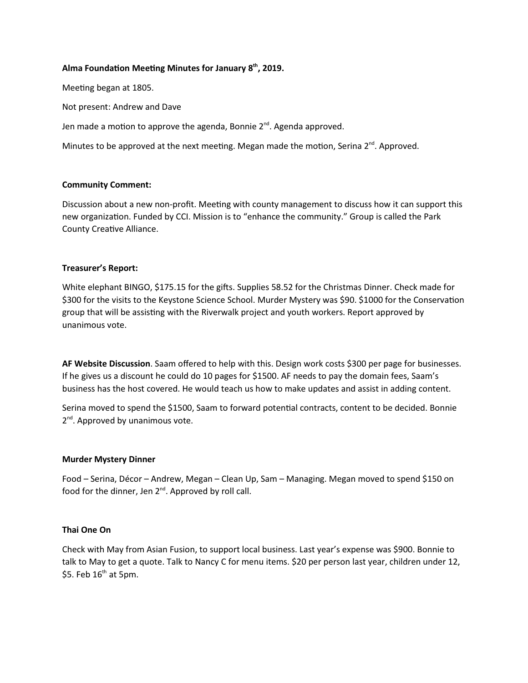# Alma Foundation Meeting Minutes for January  $8<sup>th</sup>$ , 2019.

Meeting began at 1805.

Not present: Andrew and Dave

Jen made a motion to approve the agenda, Bonnie  $2^{nd}$ . Agenda approved.

Minutes to be approved at the next meeting. Megan made the motion, Serina  $2^{nd}$ . Approved.

#### Community Comment:

Discussion about a new non-profit. Meeting with county management to discuss how it can support this new organization. Funded by CCI. Mission is to "enhance the community." Group is called the Park County Creative Alliance.

## Treasurer's Report:

White elephant BINGO, \$175.15 for the gifts. Supplies 58.52 for the Christmas Dinner. Check made for \$300 for the visits to the Keystone Science School. Murder Mystery was \$90. \$1000 for the Conservation group that will be assisting with the Riverwalk project and youth workers. Report approved by unanimous vote.

AF Website Discussion. Saam offered to help with this. Design work costs \$300 per page for businesses. If he gives us a discount he could do 10 pages for \$1500. AF needs to pay the domain fees, Saam's business has the host covered. He would teach us how to make updates and assist in adding content.

Serina moved to spend the \$1500, Saam to forward potential contracts, content to be decided. Bonnie 2<sup>nd</sup>. Approved by unanimous vote.

#### Murder Mystery Dinner

Food – Serina, Décor – Andrew, Megan – Clean Up, Sam – Managing. Megan moved to spend \$150 on food for the dinner, Jen  $2^{nd}$ . Approved by roll call.

# Thai One On

Check with May from Asian Fusion, to support local business. Last year's expense was \$900. Bonnie to talk to May to get a quote. Talk to Nancy C for menu items. \$20 per person last year, children under 12, \$5. Feb  $16<sup>th</sup>$  at 5pm.